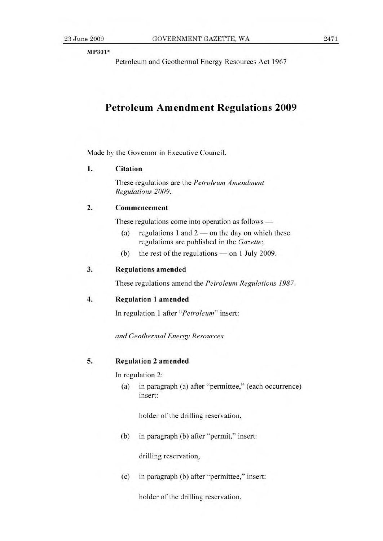MP301\*

Petroleum and Geothermal Energy Resources Act 1967

# **Petroleum Amendment Regulations 2009**

Made by the Governor in Executive Council.

#### **1. Citation**

These regulations are the *Petroleum Amendment Regulations 2009.* 

## **2. Commencement**

These regulations come into operation as follows —

- (a) regulations 1 and  $2$  on the day on which these regulations are published in the *Gazette;*
- (b) the rest of the regulations on 1 July 2009.

#### **3. Regulations amended**

These regulations amend the *Petroleum Regulations 1987.* 

## **4. Regulation 1 amended**

In regulation 1 after *"Petroleum"* insert:

*and Geothermal Energy Resources* 

#### **5. Regulation** 2 amended

**In** regulation 2:

(a) in paragraph (a) after "permittee," (each occurrence) insert:

holder of the drilling reservation,

(b) in paragraph (b) after "permit," insert:

drilling reservation,

(c) in paragraph (b) after "permittee," insert:

holder of the drilling reservation,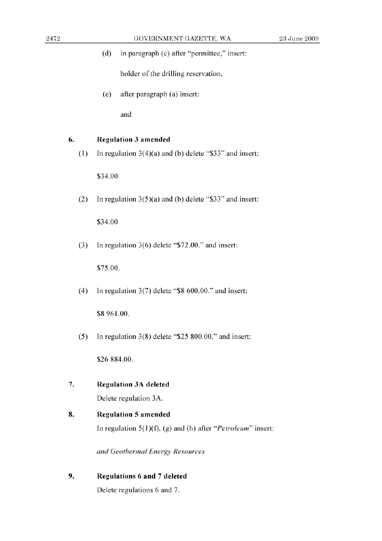(d) in paragraph (c) after "permittee," insert:

holder of the drilling reservation,

(e) after paragraph (a) insert:

and

## **6. Regulation 3 amended**

(1) In regulation 3(4)(a) and (b) delete "\$33" and insert:

\$34.00

(2) In regulation *3(5)(a)* and (b) delete "\$33" and insert:

\$34.00

(3) In regulation 3(6) delete "\$72.00." and insert:

\$75.00.

(4) In regulation 3(7) delete "\$8 600.00." and insert:

\$8961.00.

(5) In regulation *3(8)* delete *"\$25* 800.00." and insert:

\$26884.00.

- 7. **Regulation** 3A **deleted**  Delete regulation 3A.
- **8. Regulation** 5 **amended**  In regulation *5(1)(f),* (g) and (h) after *"Petroleum"* insert:

*and Geothermal Energy Resources* 

**9. Regulations 6 and 7 deleted**  Delete regulations 6 and 7.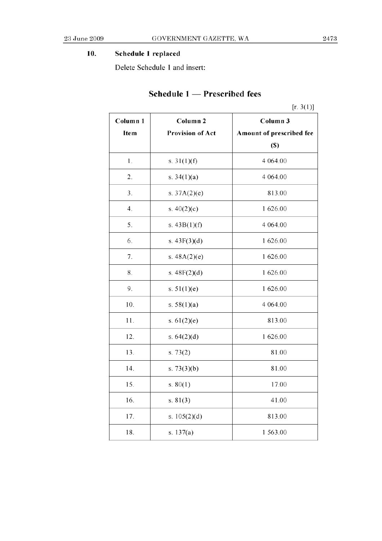## **10. Schedule 1 replaced**

Delete Schedule 1 and insert:

# **Schedule 1** - Prescribed fees

|          |                         | [r. 3(1)]                |
|----------|-------------------------|--------------------------|
| Column 1 | Column <sub>2</sub>     | Column 3                 |
| Item     | <b>Provision of Act</b> | Amount of prescribed fee |
|          |                         | <b>(S)</b>               |
| 1.       | s. $31(1)(f)$           | 4 0 64.00                |
| 2.       | s. $34(1)(a)$           | 4 0 64.00                |
| 3.       | s. $37A(2)(e)$          | 813.00                   |
| 4.       | s. $40(2)(c)$           | 1 626.00                 |
| 5.       | s. $43B(1)(f)$          | 4 0 64.00                |
| 6.       | s. $43F(3)(d)$          | 1 626.00                 |
| 7.       | s. $48A(2)(e)$          | 1 626.00                 |
| 8.       | s. $48F(2)(d)$          | 1 626.00                 |
| 9.       | s. $51(1)(e)$           | 1 626.00                 |
| 10.      | s. $58(1)(a)$           | 4 0 64.00                |
| 11.      | s. $61(2)(e)$           | 813.00                   |
| 12.      | s. $64(2)(d)$           | 1 626.00                 |
| 13.      | s. $73(2)$              | 81.00                    |
| 14.      | s. $73(3)(b)$           | 81.00                    |
| 15.      | s. $80(1)$              | 17.00                    |
| 16.      | s. $81(3)$              | 41.00                    |
| 17.      | s. $105(2)(d)$          | 813.00                   |
| 18.      | s. $137(a)$             | 1 563.00                 |